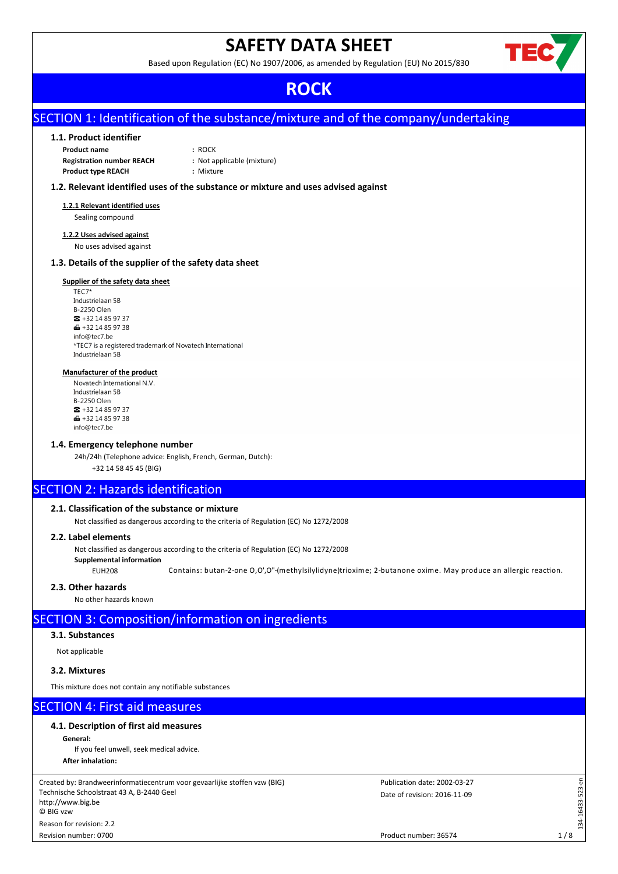# **SAFETY DATA SHEET**

Based upon Regulation (EC) No 1907/2006, as amended by Regulation (EU) No 2015/830



# **ROCK**

# SECTION 1: Identification of the substance/mixture and of the company/undertaking

## **1.1. Product identifier**

| <b>Product name</b>              | : ROCK                     |
|----------------------------------|----------------------------|
| <b>Registration number REACH</b> | : Not applicable (mixture) |
| <b>Product type REACH</b>        | : Mixture                  |

## **1.2. Relevant identified uses of the substance or mixture and uses advised against**

## **1.2.1 Relevant identified uses**

Sealing compound

#### **1.2.2 Uses advised against** No uses advised against

## **1.3. Details of the supplier of the safety data sheet**

#### **Supplier of the safety data sheet**

TEC7\* Industrielaan 5B B-2250 Olen  $\frac{1}{28}$  + 32 14 85 97 37  $\bigoplus$  +32 14 85 97 38 info@tec7.be \*TEC7 is a registered trademark of Novatech International Industrielaan 5B

#### **Manufacturer of the product**

Novatech International N.V. Industrielaan 5B B-2250 Olen  $\frac{1}{2}$  + 32 14 85 97 37  $+3214859738$ info@tec7.be

#### **1.4. Emergency telephone number**

24h/24h (Telephone advice: English, French, German, Dutch):

+32 14 58 45 45 (BIG)

## SECTION 2: Hazards identification

#### **2.1. Classification of the substance or mixture**

Not classified as dangerous according to the criteria of Regulation (EC) No 1272/2008

## **2.2. Label elements**

Not classified as dangerous according to the criteria of Regulation (EC) No 1272/2008

**Supplemental information**

EUH208 Contains: butan-2-one O,O',O"-(methylsilylidyne)trioxime; 2-butanone oxime. May produce an allergic reaction.

## **2.3. Other hazards**

No other hazards known

# SECTION 3: Composition/information on ingredients

## **3.1. Substances**

Not applicable

## **3.2. Mixtures**

This mixture does not contain any notifiable substances

# SECTION 4: First aid measures

**4.1. Description of first aid measures**

**General:**

If you feel unwell, seek medical advice.

**After inhalation:**

Created by: Brandweerinformatiecentrum voor gevaarlijke stoffen vzw (BIG) Technische Schoolstraat 43 A, B-2440 Geel http://www.big.be © BIG vzw Reason for revision: 2.2

Revision number: 0700

Date of revision: 2016-11-09 Publication date: 2002-03-27

 $1/8$ 

134-16433-523-en

134-16433-523-

a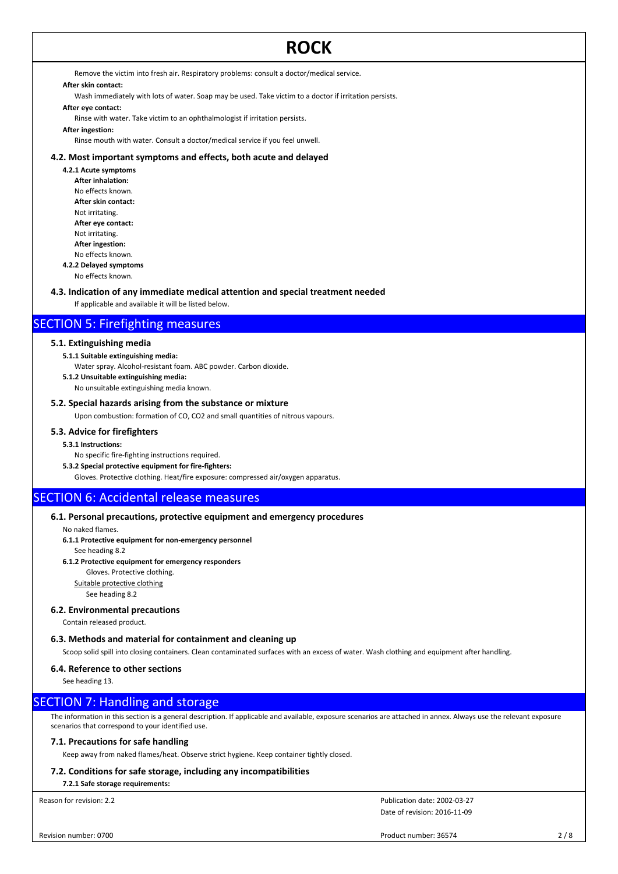Remove the victim into fresh air. Respiratory problems: consult a doctor/medical service.

## **After skin contact:**

Wash immediately with lots of water. Soap may be used. Take victim to a doctor if irritation persists.

## **After eye contact:**

Rinse with water. Take victim to an ophthalmologist if irritation persists.

## **After ingestion:**

Rinse mouth with water. Consult a doctor/medical service if you feel unwell.

## **4.2. Most important symptoms and effects, both acute and delayed**

**4.2.1 Acute symptoms After inhalation:** No effects known. **After skin contact:** Not irritating. **After eye contact:** Not irritating. **After ingestion:** No effects known. **4.2.2 Delayed symptoms**

No effects known.

#### **4.3. Indication of any immediate medical attention and special treatment needed**

If applicable and available it will be listed below.

## SECTION 5: Firefighting measures

#### **5.1. Extinguishing media**

**5.1.1 Suitable extinguishing media:**

Water spray. Alcohol-resistant foam. ABC powder. Carbon dioxide.

**5.1.2 Unsuitable extinguishing media:**

No unsuitable extinguishing media known.

#### **5.2. Special hazards arising from the substance or mixture**

Upon combustion: formation of CO, CO2 and small quantities of nitrous vapours.

#### **5.3. Advice for firefighters**

#### **5.3.1 Instructions:**

No specific fire-fighting instructions required.

**5.3.2 Special protective equipment for fire-fighters:**

Gloves. Protective clothing. Heat/fire exposure: compressed air/oxygen apparatus.

# SECTION 6: Accidental release measures

### **6.1. Personal precautions, protective equipment and emergency procedures**

No naked flames.

**6.1.1 Protective equipment for non-emergency personnel**

See heading 8.2

#### **6.1.2 Protective equipment for emergency responders**

Gloves. Protective clothing.

Suitable protective clothing

## See heading 8.2

#### **6.2. Environmental precautions**

Contain released product.

#### **6.3. Methods and material for containment and cleaning up**

Scoop solid spill into closing containers. Clean contaminated surfaces with an excess of water. Wash clothing and equipment after handling.

#### **6.4. Reference to other sections**

See heading 13.

## SECTION 7: Handling and storage

The information in this section is a general description. If applicable and available, exposure scenarios are attached in annex. Always use the relevant exposure scenarios that correspond to your identified use.

#### **7.1. Precautions for safe handling**

Keep away from naked flames/heat. Observe strict hygiene. Keep container tightly closed.

#### **7.2. Conditions for safe storage, including any incompatibilities**

**7.2.1 Safe storage requirements:**

Reason for revision: 2.2

Date of revision: 2016-11-09 Publication date: 2002-03-27

Product number: 36574 2/8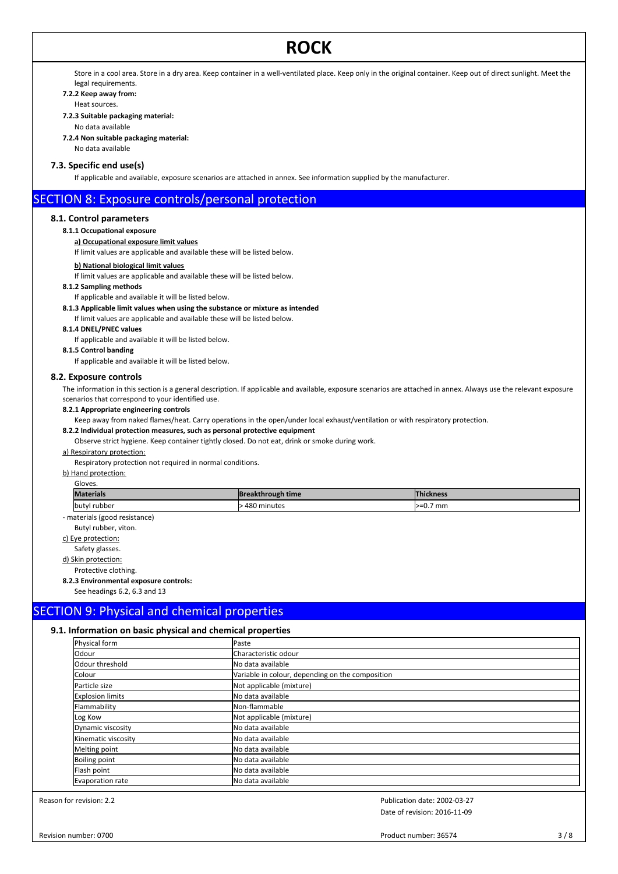Store in a cool area. Store in a dry area. Keep container in a well-ventilated place. Keep only in the original container. Keep out of direct sunlight. Meet the legal requirements.

#### **7.2.2 Keep away from:**

Heat sources.

**7.2.3 Suitable packaging material:**

No data available

**7.2.4 Non suitable packaging material:**

No data available

## **7.3. Specific end use(s)**

If applicable and available, exposure scenarios are attached in annex. See information supplied by the manufacturer.

## SECTION 8: Exposure controls/personal protection

## **8.1. Control parameters**

**8.1.1 Occupational exposure**

#### **a) Occupational exposure limit values**

If limit values are applicable and available these will be listed below.

#### **b) National biological limit values**

If limit values are applicable and available these will be listed below.

**8.1.2 Sampling methods**

## If applicable and available it will be listed below.

**8.1.3 Applicable limit values when using the substance or mixture as intended**

If limit values are applicable and available these will be listed below.

**8.1.4 DNEL/PNEC values**

If applicable and available it will be listed below.

## **8.1.5 Control banding**

If applicable and available it will be listed below.

#### **8.2. Exposure controls**

The information in this section is a general description. If applicable and available, exposure scenarios are attached in annex. Always use the relevant exposure scenarios that correspond to your identified use.

#### **8.2.1 Appropriate engineering controls**

Keep away from naked flames/heat. Carry operations in the open/under local exhaust/ventilation or with respiratory protection.

#### **8.2.2 Individual protection measures, such as personal protective equipment**

Observe strict hygiene. Keep container tightly closed. Do not eat, drink or smoke during work.

#### a) Respiratory protection:

Respiratory protection not required in normal conditions.

b) Hand protection:

| Gloves.          |                   |                  |
|------------------|-------------------|------------------|
| <b>Materials</b> | Breakthrough time | <b>Thickness</b> |
| butyl rubber     | 480 minutes       | l>=0.7 mm        |

- materials (good resistance)

Butyl rubber, viton.

c) Eye protection:

Safety glasses.

d) Skin protection: Protective clothing.

**8.2.3 Environmental exposure controls:**

## See headings 6.2, 6.3 and 13

# SECTION 9: Physical and chemical properties

#### **9.1. Information on basic physical and chemical properties**

| Physical form           | Paste                                            |
|-------------------------|--------------------------------------------------|
| Odour                   | <b>I</b> Characteristic odour                    |
| Odour threshold         | <b>I</b> No data available                       |
| Colour                  | Variable in colour, depending on the composition |
| Particle size           | Not applicable (mixture)                         |
| <b>Explosion limits</b> | No data available                                |
| Flammability            | Non-flammable                                    |
| Log Kow                 | Not applicable (mixture)                         |
| Dynamic viscosity       | <b>I</b> No data available                       |
| Kinematic viscosity     | No data available                                |
| Melting point           | <b>I</b> No data available                       |
| <b>Boiling point</b>    | <b>I</b> No data available                       |
| Flash point             | <b>I</b> No data available                       |
| Evaporation rate        | No data available                                |

Reason for revision: 2.2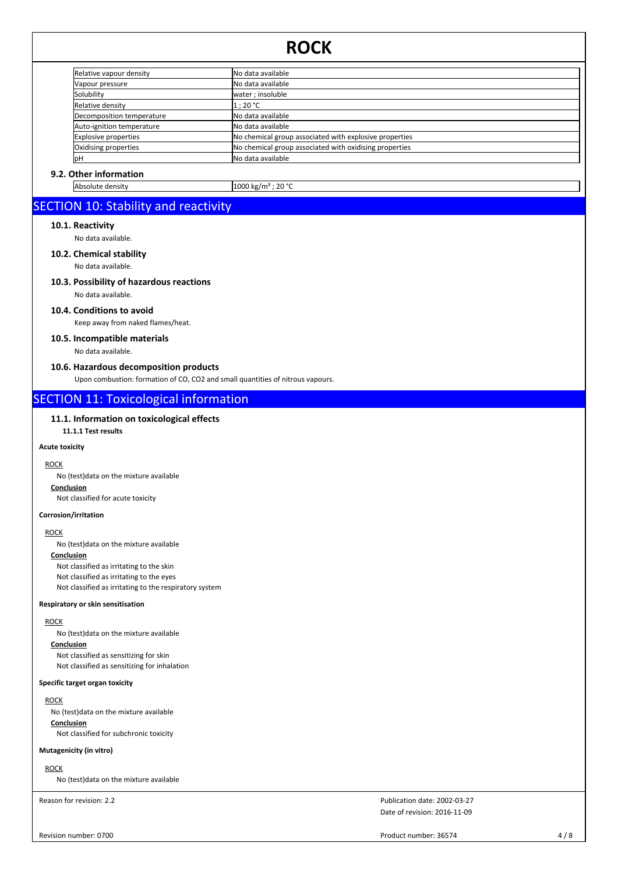| Relative vapour density   | No data available                                      |  |
|---------------------------|--------------------------------------------------------|--|
| Vapour pressure           | No data available                                      |  |
| Solubility                | water ; insoluble                                      |  |
| Relative density          | 1 ; 20 °C                                              |  |
| Decomposition temperature | No data available                                      |  |
| Auto-ignition temperature | INo data available                                     |  |
| Explosive properties      | No chemical group associated with explosive properties |  |
| Oxidising properties      | No chemical group associated with oxidising properties |  |
| lрН                       | No data available                                      |  |

## **9.2. Other information**

Absolute density 1000 kg/m<sup>3</sup> ; 20 °C

# SECTION 10: Stability and reactivity

#### **10.1. Reactivity**

No data available.

## **10.2. Chemical stability**

No data available.

#### **10.3. Possibility of hazardous reactions**

No data available.

#### **10.4. Conditions to avoid**

Keep away from naked flames/heat.

## **10.5. Incompatible materials**

No data available.

## **10.6. Hazardous decomposition products**

Upon combustion: formation of CO, CO2 and small quantities of nitrous vapours.

# SECTION 11: Toxicological information

## **11.1. Information on toxicological effects**

**11.1.1 Test results**

#### **Acute toxicity**

## **ROCK**

No (test)data on the mixture available

## **Conclusion**

Not classified for acute toxicity

## **Corrosion/irritation**

## **ROCK**

No (test)data on the mixture available

## **Conclusion**

Not classified as irritating to the skin Not classified as irritating to the eyes Not classified as irritating to the respiratory system

#### **Respiratory or skin sensitisation**

## ROCK

No (test)data on the mixture available

#### **Conclusion**

Not classified as sensitizing for skin Not classified as sensitizing for inhalation

## **Specific target organ toxicity**

## **ROCK**

No (test)data on the mixture available

**Conclusion** Not classified for subchronic toxicity

## **Mutagenicity (in vitro)**

ROCK

No (test)data on the mixture available

Reason for revision: 2.2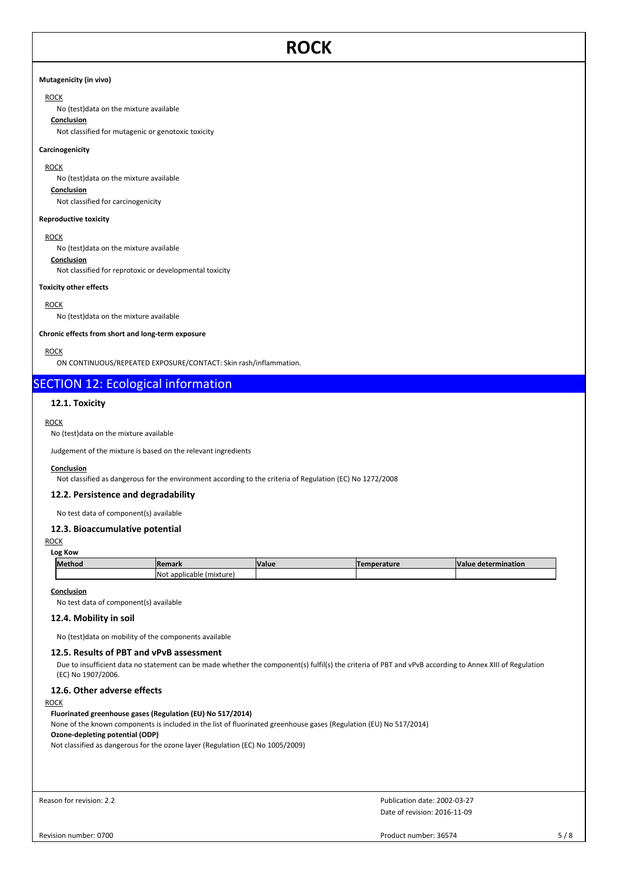#### **Mutagenicity (in vivo)**

## ROCK

No (test)data on the mixture available

## **Conclusion**

Not classified for mutagenic or genotoxic toxicity

#### **Carcinogenicity**

ROCK

No (test)data on the mixture available

## **Conclusion**

Not classified for carcinogenicity

### **Reproductive toxicity**

#### **ROCK**

No (test)data on the mixture available

#### **Conclusion** Not classified for reprotoxic or developmental toxicity

**Toxicity other effects**

#### **ROCK**

No (test)data on the mixture available

#### **Chronic effects from short and long-term exposure**

#### ROCK

ON CONTINUOUS/REPEATED EXPOSURE/CONTACT: Skin rash/inflammation.

# SECTION 12: Ecological information

## **12.1. Toxicity**

#### **ROCK**

#### No (test)data on the mixture available

Judgement of the mixture is based on the relevant ingredients

#### **Conclusion**

Not classified as dangerous for the environment according to the criteria of Regulation (EC) No 1272/2008

#### **12.2. Persistence and degradability**

No test data of component(s) available

## **12.3. Bioaccumulative potential**

#### ROCK

#### **Log Kow**

| Method | <b>!Remark</b>                   | <b>Value</b> | mperature | <b>Value</b><br>: determination |
|--------|----------------------------------|--------------|-----------|---------------------------------|
|        | (mixture<br>INot<br>: applicable |              |           |                                 |

#### **Conclusion**

No test data of component(s) available

## **12.4. Mobility in soil**

No (test)data on mobility of the components available

## **12.5. Results of PBT and vPvB assessment**

Due to insufficient data no statement can be made whether the component(s) fulfil(s) the criteria of PBT and vPvB according to Annex XIII of Regulation (EC) No 1907/2006.

## **12.6. Other adverse effects**

#### ROCK

#### **Fluorinated greenhouse gases (Regulation (EU) No 517/2014)**

None of the known components is included in the list of fluorinated greenhouse gases (Regulation (EU) No 517/2014) **Ozone-depleting potential (ODP)**

Not classified as dangerous for the ozone layer (Regulation (EC) No 1005/2009)

```
Reason for revision: 2.2
```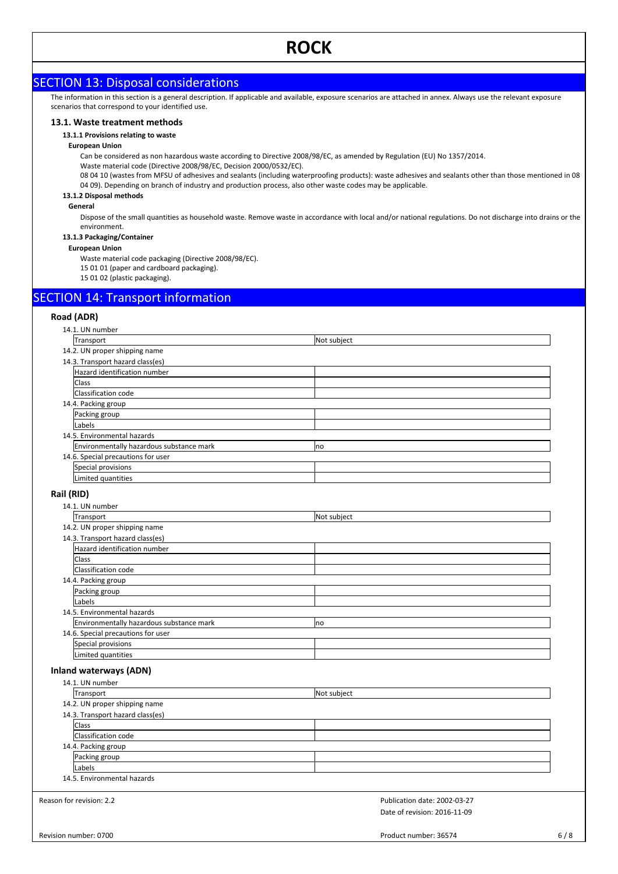# SECTION 13: Disposal considerations

The information in this section is a general description. If applicable and available, exposure scenarios are attached in annex. Always use the relevant exposure scenarios that correspond to your identified use.

#### **13.1. Waste treatment methods**

#### **13.1.1 Provisions relating to waste**

#### **European Union**

Can be considered as non hazardous waste according to Directive 2008/98/EC, as amended by Regulation (EU) No 1357/2014.

Waste material code (Directive 2008/98/EC, Decision 2000/0532/EC).

08 04 10 (wastes from MFSU of adhesives and sealants (including waterproofing products): waste adhesives and sealants other than those mentioned in 08 04 09). Depending on branch of industry and production process, also other waste codes may be applicable.

## **13.1.2 Disposal methods**

#### **General**

Dispose of the small quantities as household waste. Remove waste in accordance with local and/or national regulations. Do not discharge into drains or the environment.

## **13.1.3 Packaging/Container**

**European Union**

Waste material code packaging (Directive 2008/98/EC).

15 01 01 (paper and cardboard packaging).

15 01 02 (plastic packaging).

# SECTION 14: Transport information

### **Road (ADR)**

|            | 14.1. UN number                          |                              |     |
|------------|------------------------------------------|------------------------------|-----|
|            | Transport                                | Not subject                  |     |
|            | 14.2. UN proper shipping name            |                              |     |
|            | 14.3. Transport hazard class(es)         |                              |     |
|            | Hazard identification number             |                              |     |
|            | Class                                    |                              |     |
|            | Classification code                      |                              |     |
|            | 14.4. Packing group                      |                              |     |
|            | Packing group                            |                              |     |
|            | Labels                                   |                              |     |
|            | 14.5. Environmental hazards              |                              |     |
|            | Environmentally hazardous substance mark | no                           |     |
|            | 14.6. Special precautions for user       |                              |     |
|            | Special provisions                       |                              |     |
|            | Limited quantities                       |                              |     |
|            |                                          |                              |     |
| Rail (RID) |                                          |                              |     |
|            | 14.1. UN number                          |                              |     |
|            | Transport                                | Not subject                  |     |
|            | 14.2. UN proper shipping name            |                              |     |
|            | 14.3. Transport hazard class(es)         |                              |     |
|            | Hazard identification number             |                              |     |
|            | Class                                    |                              |     |
|            | Classification code                      |                              |     |
|            | 14.4. Packing group                      |                              |     |
|            | Packing group                            |                              |     |
|            | Labels                                   |                              |     |
|            | 14.5. Environmental hazards              |                              |     |
|            | Environmentally hazardous substance mark | no                           |     |
|            | 14.6. Special precautions for user       |                              |     |
|            | Special provisions                       |                              |     |
|            | Limited quantities                       |                              |     |
|            | <b>Inland waterways (ADN)</b>            |                              |     |
|            | 14.1. UN number                          |                              |     |
|            | Transport                                | Not subject                  |     |
|            | 14.2. UN proper shipping name            |                              |     |
|            | 14.3. Transport hazard class(es)         |                              |     |
|            | Class                                    |                              |     |
|            | Classification code                      |                              |     |
|            | 14.4. Packing group                      |                              |     |
|            | Packing group                            |                              |     |
|            | Labels                                   |                              |     |
|            | 14.5. Environmental hazards              |                              |     |
|            | Reason for revision: 2.2                 | Publication date: 2002-03-27 |     |
|            |                                          | Date of revision: 2016-11-09 |     |
|            | Revision number: 0700                    | Product number: 36574        | 6/8 |
|            |                                          |                              |     |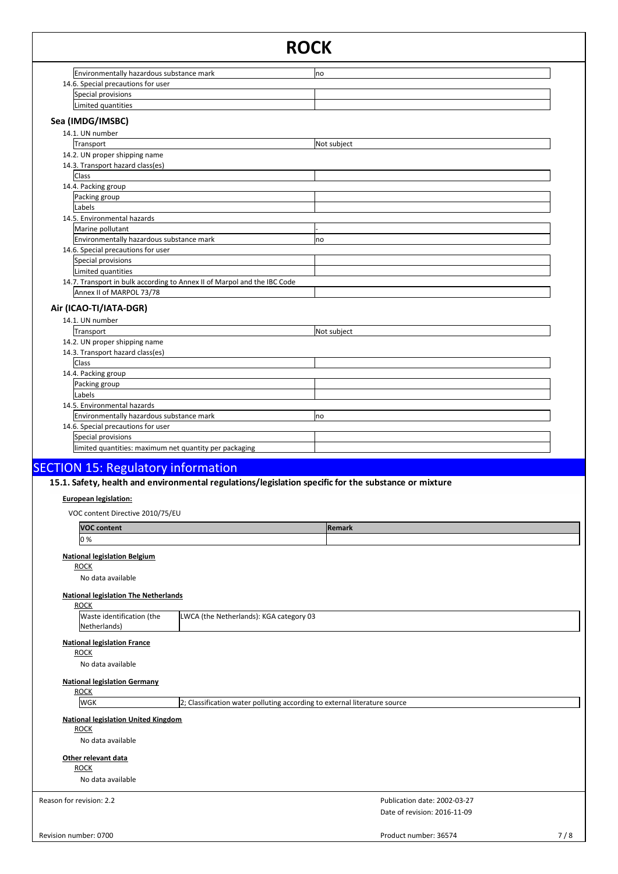|                                                                         |                                                                           | <b>ROCK</b>                                                                                          |     |
|-------------------------------------------------------------------------|---------------------------------------------------------------------------|------------------------------------------------------------------------------------------------------|-----|
| Environmentally hazardous substance mark                                |                                                                           | no                                                                                                   |     |
| 14.6. Special precautions for user                                      |                                                                           |                                                                                                      |     |
| Special provisions                                                      |                                                                           |                                                                                                      |     |
| Limited quantities                                                      |                                                                           |                                                                                                      |     |
| Sea (IMDG/IMSBC)                                                        |                                                                           |                                                                                                      |     |
| 14.1. UN number                                                         |                                                                           |                                                                                                      |     |
| Transport<br>14.2. UN proper shipping name                              |                                                                           | Not subject                                                                                          |     |
| 14.3. Transport hazard class(es)                                        |                                                                           |                                                                                                      |     |
| <b>Class</b>                                                            |                                                                           |                                                                                                      |     |
| 14.4. Packing group                                                     |                                                                           |                                                                                                      |     |
| Packing group<br>Labels                                                 |                                                                           |                                                                                                      |     |
| 14.5. Environmental hazards                                             |                                                                           |                                                                                                      |     |
| Marine pollutant                                                        |                                                                           |                                                                                                      |     |
| Environmentally hazardous substance mark                                |                                                                           | no                                                                                                   |     |
| 14.6. Special precautions for user<br>Special provisions                |                                                                           |                                                                                                      |     |
| Limited quantities                                                      |                                                                           |                                                                                                      |     |
|                                                                         | 14.7. Transport in bulk according to Annex II of Marpol and the IBC Code  |                                                                                                      |     |
| Annex II of MARPOL 73/78                                                |                                                                           |                                                                                                      |     |
| Air (ICAO-TI/IATA-DGR)                                                  |                                                                           |                                                                                                      |     |
| 14.1. UN number                                                         |                                                                           |                                                                                                      |     |
| Transport                                                               |                                                                           | Not subject                                                                                          |     |
| 14.2. UN proper shipping name<br>14.3. Transport hazard class(es)       |                                                                           |                                                                                                      |     |
| Class                                                                   |                                                                           |                                                                                                      |     |
| 14.4. Packing group                                                     |                                                                           |                                                                                                      |     |
| Packing group                                                           |                                                                           |                                                                                                      |     |
| Labels                                                                  |                                                                           |                                                                                                      |     |
| 14.5. Environmental hazards<br>Environmentally hazardous substance mark |                                                                           | no                                                                                                   |     |
| 14.6. Special precautions for user                                      |                                                                           |                                                                                                      |     |
| Special provisions                                                      |                                                                           |                                                                                                      |     |
| limited quantities: maximum net quantity per packaging                  |                                                                           |                                                                                                      |     |
| <b>SECTION 15: Regulatory information</b>                               |                                                                           |                                                                                                      |     |
|                                                                         |                                                                           | 15.1. Safety, health and environmental regulations/legislation specific for the substance or mixture |     |
|                                                                         |                                                                           |                                                                                                      |     |
| <b>European legislation:</b>                                            |                                                                           |                                                                                                      |     |
| VOC content Directive 2010/75/EU                                        |                                                                           |                                                                                                      |     |
| <b>VOC content</b>                                                      |                                                                           | <b>Remark</b>                                                                                        |     |
| 0%                                                                      |                                                                           |                                                                                                      |     |
| <b>National legislation Belgium</b>                                     |                                                                           |                                                                                                      |     |
| <b>ROCK</b>                                                             |                                                                           |                                                                                                      |     |
| No data available                                                       |                                                                           |                                                                                                      |     |
| <b>National legislation The Netherlands</b>                             |                                                                           |                                                                                                      |     |
| <b>ROCK</b>                                                             |                                                                           |                                                                                                      |     |
| Waste identification (the<br>Netherlands)                               | LWCA (the Netherlands): KGA category 03                                   |                                                                                                      |     |
|                                                                         |                                                                           |                                                                                                      |     |
| <b>National legislation France</b><br><b>ROCK</b>                       |                                                                           |                                                                                                      |     |
| No data available                                                       |                                                                           |                                                                                                      |     |
|                                                                         |                                                                           |                                                                                                      |     |
| <b>National legislation Germany</b><br><b>ROCK</b>                      |                                                                           |                                                                                                      |     |
| <b>WGK</b>                                                              | 2; Classification water polluting according to external literature source |                                                                                                      |     |
|                                                                         |                                                                           |                                                                                                      |     |
| <b>National legislation United Kingdom</b><br><b>ROCK</b>               |                                                                           |                                                                                                      |     |
| No data available                                                       |                                                                           |                                                                                                      |     |
| Other relevant data                                                     |                                                                           |                                                                                                      |     |
| <b>ROCK</b>                                                             |                                                                           |                                                                                                      |     |
| No data available                                                       |                                                                           |                                                                                                      |     |
|                                                                         |                                                                           |                                                                                                      |     |
| Reason for revision: 2.2                                                |                                                                           | Publication date: 2002-03-27                                                                         |     |
|                                                                         |                                                                           | Date of revision: 2016-11-09                                                                         |     |
| Revision number: 0700                                                   |                                                                           | Product number: 36574                                                                                | 7/8 |